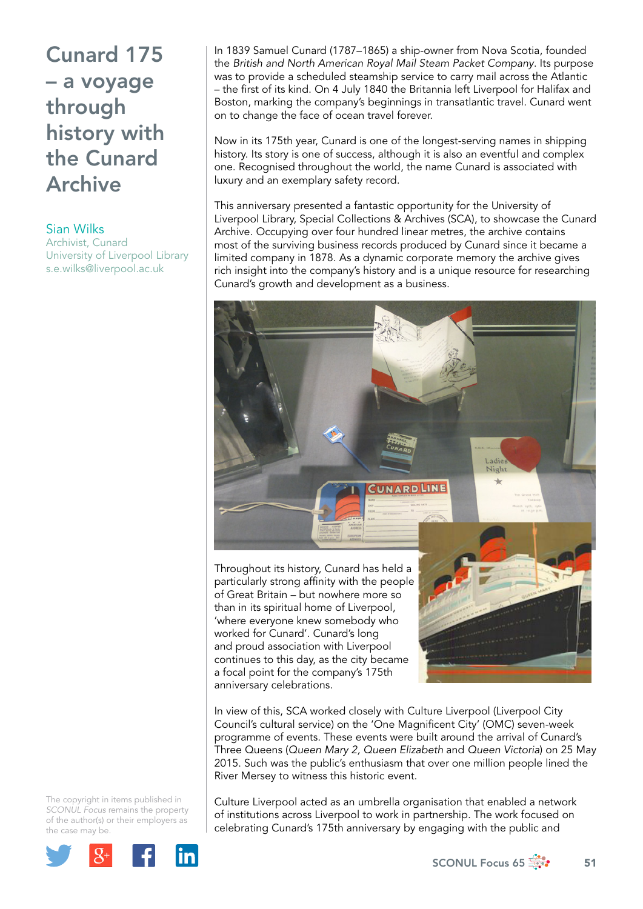## Cunard 175 – a voyage through history with the Cunard Archive

Sian Wilks

Archivist, Cunard University of Liverpool Library s.e.wilks@liverpool.ac.uk

In 1839 Samuel Cunard (1787–1865) a ship-owner from Nova Scotia, founded the *British and North American Royal Mail Steam Packet Company*. Its purpose was to provide a scheduled steamship service to carry mail across the Atlantic – the first of its kind. On 4 July 1840 the Britannia left Liverpool for Halifax and Boston, marking the company's beginnings in transatlantic travel. Cunard went on to change the face of ocean travel forever.

Now in its 175th year, Cunard is one of the longest-serving names in shipping history. Its story is one of success, although it is also an eventful and complex one. Recognised throughout the world, the name Cunard is associated with luxury and an exemplary safety record.

This anniversary presented a fantastic opportunity for the University of Liverpool Library, Special Collections & Archives (SCA), to showcase the Cunard Archive. Occupying over four hundred linear metres, the archive contains most of the surviving business records produced by Cunard since it became a limited company in 1878. As a dynamic corporate memory the archive gives rich insight into the company's history and is a unique resource for researching Cunard's growth and development as a business.



Throughout its history, Cunard has held a particularly strong affinity with the people of Great Britain – but nowhere more so than in its spiritual home of Liverpool, 'where everyone knew somebody who worked for Cunard'. Cunard's long and proud association with Liverpool continues to this day, as the city became a focal point for the company's 175th anniversary celebrations.

In view of this, SCA worked closely with Culture Liverpool (Liverpool City Council's cultural service) on the 'One Magnificent City' (OMC) seven-week programme of events. These events were built around the arrival of Cunard's Three Queens (*Queen Mary 2, Queen Elizabeth* and *Queen Victoria*) on 25 May 2015. Such was the public's enthusiasm that over one million people lined the River Mersey to witness this historic event.

The copyright in items published in *SCONUL Focus* remains the property of the author(s) or their employers as the case may be.



Culture Liverpool acted as an umbrella organisation that enabled a network of institutions across Liverpool to work in partnership. The work focused on celebrating Cunard's 175th anniversary by engaging with the public and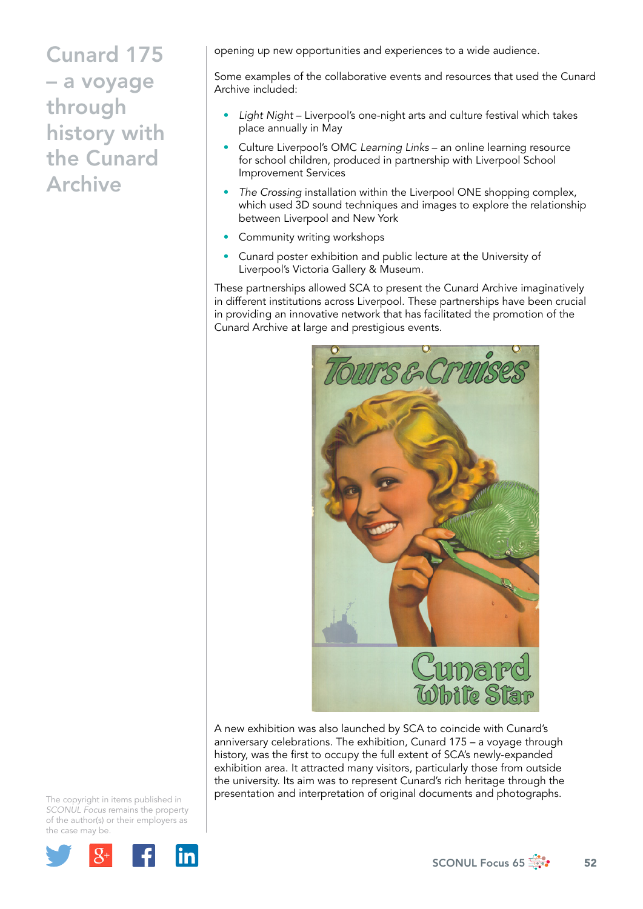## Cunard 175 – a voyage through history with the Cunard Archive

opening up new opportunities and experiences to a wide audience.

Some examples of the collaborative events and resources that used the Cunard Archive included:

- *Light Night* Liverpool's one-night arts and culture festival which takes place annually in May
- Culture Liverpool's OMC *Learning Links* an online learning resource for school children, produced in partnership with Liverpool School Improvement Services
- *The Crossing* installation within the Liverpool ONE shopping complex, which used 3D sound techniques and images to explore the relationship between Liverpool and New York
- Community writing workshops
- Cunard poster exhibition and public lecture at the University of Liverpool's Victoria Gallery & Museum.

These partnerships allowed SCA to present the Cunard Archive imaginatively in different institutions across Liverpool. These partnerships have been crucial in providing an innovative network that has facilitated the promotion of the Cunard Archive at large and prestigious events.



A new exhibition was also launched by SCA to coincide with Cunard's anniversary celebrations. The exhibition, Cunard 175 – a voyage through history, was the first to occupy the full extent of SCA's newly-expanded exhibition area. It attracted many visitors, particularly those from outside the university. Its aim was to represent Cunard's rich heritage through the presentation and interpretation of original documents and photographs.

The copyright in items published in *SCONUL Focus* remains the property of the author(s) or their employers as the case may be.



SCONUL Focus 65  $\frac{4}{32}$  52